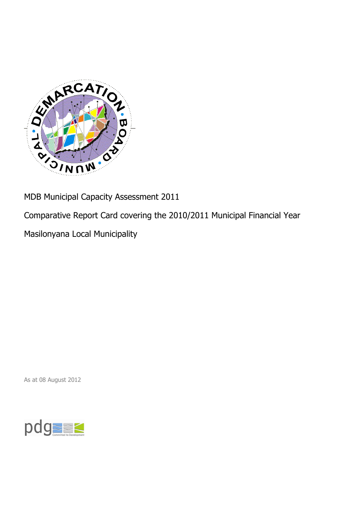

MDB Municipal Capacity Assessment 2011

Comparative Report Card covering the 2010/2011 Municipal Financial Year

Masilonyana Local Municipality

As at 08 August 2012

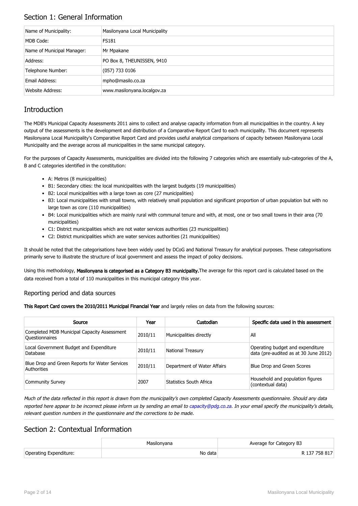## Section 1: General Information

| Name of Municipality:      | Masilonyana Local Municipality |
|----------------------------|--------------------------------|
| MDB Code:                  | <b>FS181</b>                   |
| Name of Municipal Manager: | Mr Mpakane                     |
| Address:                   | PO Box 8, THEUNISSEN, 9410     |
| Telephone Number:          | $(057)$ 733 0106               |
| Email Address:             | mpho@masilo.co.za              |
| Website Address:           | www.masilonyana.localgov.za    |

# **Introduction**

The MDB's Municipal Capacity Assessments 2011 aims to collect and analyse capacity information from all municipalities in the country. A key output of the assessments is the development and distribution of a Comparative Report Card to each municipality. This document represents Masilonyana Local Municipality's Comparative Report Card and provides useful analytical comparisons of capacity between Masilonyana Local Municipality and the average across all municipalities in the same municipal category.

For the purposes of Capacity Assessments, municipalities are divided into the following 7 categories which are essentially sub-categories of the A, B and C categories identified in the constitution:

- A: Metros (8 municipalities)
- B1: Secondary cities: the local municipalities with the largest budgets (19 municipalities)
- B2: Local municipalities with a large town as core (27 municipalities)
- B3: Local municipalities with small towns, with relatively small population and significant proportion of urban population but with no large town as core (110 municipalities)
- B4: Local municipalities which are mainly rural with communal tenure and with, at most, one or two small towns in their area (70 municipalities)
- C1: District municipalities which are not water services authorities (23 municipalities)
- C2: District municipalities which are water services authorities (21 municipalities)

It should be noted that the categorisations have been widely used by DCoG and National Treasury for analytical purposes. These categorisations primarily serve to illustrate the structure of local government and assess the impact of policy decisions.

Using this methodology, Masilonyana is categorised as a Category B3 municipality. The average for this report card is calculated based on the data received from a total of 110 municipalities in this municipal category this year.

### Reporting period and data sources

This Report Card covers the 2010/2011 Municipal Financial Year and largely relies on data from the following sources:

| Source                                                               | Year    | Custodian                   | Specific data used in this assessment                                     |
|----------------------------------------------------------------------|---------|-----------------------------|---------------------------------------------------------------------------|
| Completed MDB Municipal Capacity Assessment<br><b>Ouestionnaires</b> | 2010/11 | Municipalities directly     | All                                                                       |
| Local Government Budget and Expenditure<br>Database                  | 2010/11 | <b>National Treasury</b>    | Operating budget and expenditure<br>data (pre-audited as at 30 June 2012) |
| Blue Drop and Green Reports for Water Services<br>Authorities        | 2010/11 | Department of Water Affairs | Blue Drop and Green Scores                                                |
| <b>Community Survey</b>                                              | 2007    | Statistics South Africa     | Household and population figures<br>(contextual data)                     |

Much of the data reflected in this report is drawn from the municipality's own completed Capacity Assessments questionnaire. Should any data reported here appear to be incorrect please inform us by sending an email to [capacity@pdg.co.za](mailto:capacity@pdg.co.za). In your email specify the municipality's details, relevant question numbers in the questionnaire and the corrections to be made.

## Section 2: Contextual Information

|                        | Masilonvana | Average for Category B3 |
|------------------------|-------------|-------------------------|
| Operating Expenditure: | No data     | R 137 758 817           |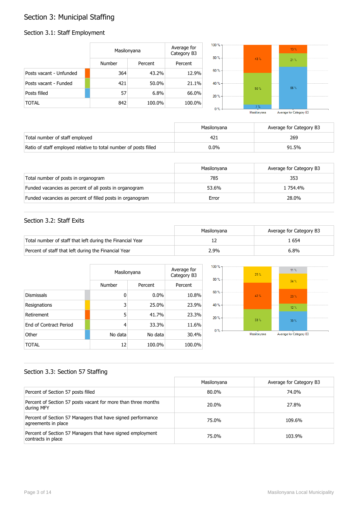# Section 3: Municipal Staffing

## Section 3.1: Staff Employment

|                         | Masilonyana   |          | Average for<br>Category B3 | 100 % -<br>80% |      | 13.% |  |
|-------------------------|---------------|----------|----------------------------|----------------|------|------|--|
|                         | <b>Number</b> | Percent  | Percent                    |                | 43 % | 21%  |  |
| Posts vacant - Unfunded | 364           | 43.2%    | 12.9%                      | $60 \%$        |      |      |  |
| Posts vacant - Funded   | 421           | $50.0\%$ | 21.1%                      | 40 % -         |      | 66%  |  |
| Posts filled            | 57            | 6.8%     | 66.0%                      | 20%            | 50 % |      |  |
| <b>TOTAL</b>            | 842           | 100.0%   | 100.0%                     | $0\%$          | 7%   |      |  |

Average for Category B3 Masilonyana

|                                                                  | Masilonvana | Average for Category B3 |
|------------------------------------------------------------------|-------------|-------------------------|
| Total number of staff employed                                   |             | 269                     |
| Ratio of staff employed relative to total number of posts filled | $0.0\%$     | 91.5%                   |

|                                                           | Masilonvana | Average for Category B3 |
|-----------------------------------------------------------|-------------|-------------------------|
| Total number of posts in organogram                       | 785         | 353                     |
| Funded vacancies as percent of all posts in organogram    | 53.6%       | 1 754.4%                |
| Funded vacancies as percent of filled posts in organogram | Error       | 28.0%                   |

### Section 3.2: Staff Exits

|                                                           | Masilonvana | Average for Category B3 |
|-----------------------------------------------------------|-------------|-------------------------|
| Total number of staff that left during the Financial Year |             | . 654                   |
| Percent of staff that left during the Financial Year      | 2.9%        | 6.8%                    |

|                               |         | Masilonyana |         |  |
|-------------------------------|---------|-------------|---------|--|
|                               | Number  | Percent     | Percent |  |
| <b>Dismissals</b>             | 0       | $0.0\%$     | 10.8%   |  |
| Resignations                  | 3       | 25.0%       | 23.9%   |  |
| Retirement                    | 5       | 41.7%       | 23.3%   |  |
| <b>Fnd of Contract Period</b> | 4       | 33.3%       | 11.6%   |  |
| Other                         | No data | No data     | 30.4%   |  |
| TOTAL                         | 12      | 100.0%      | 100.0%  |  |



## Section 3.3: Section 57 Staffing

|                                                                                    | Masilonyana | Average for Category B3 |
|------------------------------------------------------------------------------------|-------------|-------------------------|
| Percent of Section 57 posts filled                                                 | 80.0%       | 74.0%                   |
| Percent of Section 57 posts vacant for more than three months<br>during MFY        | 20.0%       | 27.8%                   |
| Percent of Section 57 Managers that have signed performance<br>agreements in place | 75.0%       | 109.6%                  |
| Percent of Section 57 Managers that have signed employment<br>contracts in place   | 75.0%       | 103.9%                  |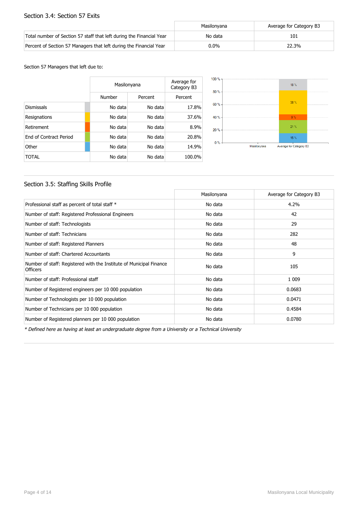### Section 3.4: Section 57 Exits

|                                                                      | Masilonvana | Average for Category B3 |
|----------------------------------------------------------------------|-------------|-------------------------|
| Total number of Section 57 staff that left during the Financial Year | No data     | 101                     |
| Percent of Section 57 Managers that left during the Financial Year   | $0.0\%$     | 22.3%                   |

#### Section 57 Managers that left due to:

|                        | Masilonyana | Average for<br>Category B3 |         |
|------------------------|-------------|----------------------------|---------|
|                        | Number      | Percent                    | Percent |
| <b>Dismissals</b>      | No data     | No data                    | 17.8%   |
| Resignations           | No data     | No data                    | 37.6%   |
| Retirement             | No data     | No data                    | 8.9%    |
| End of Contract Period | No data     | No data                    | 20.8%   |
| Other                  | No data     | No data                    | 14.9%   |
| TOTAL                  | No data     | No data                    | 100.0%  |



## Section 3.5: Staffing Skills Profile

|                                                                                        | Masilonyana | Average for Category B3 |
|----------------------------------------------------------------------------------------|-------------|-------------------------|
| Professional staff as percent of total staff *                                         | No data     | 4.2%                    |
| Number of staff: Registered Professional Engineers                                     | No data     | 42                      |
| Number of staff: Technologists                                                         | No data     | 29                      |
| Number of staff: Technicians                                                           | No data     | 282                     |
| Number of staff: Registered Planners                                                   | No data     | 48                      |
| Number of staff: Chartered Accountants                                                 | No data     | 9                       |
| Number of staff: Registered with the Institute of Municipal Finance<br><b>Officers</b> | No data     | 105                     |
| Number of staff: Professional staff                                                    | No data     | 1 0 0 9                 |
| Number of Registered engineers per 10 000 population                                   | No data     | 0.0683                  |
| Number of Technologists per 10 000 population                                          | No data     | 0.0471                  |
| Number of Technicians per 10 000 population                                            | No data     | 0.4584                  |
| Number of Registered planners per 10 000 population                                    | No data     | 0.0780                  |

\* Defined here as having at least an undergraduate degree from a University or a Technical University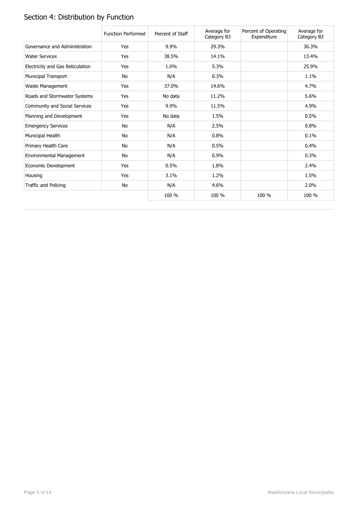# Section 4: Distribution by Function

|                                  | <b>Function Performed</b> | Percent of Staff | Average for<br>Category B3 | Percent of Operating<br>Expenditure | Average for<br>Category B3 |
|----------------------------------|---------------------------|------------------|----------------------------|-------------------------------------|----------------------------|
| Governance and Administration    | Yes                       | 9.9%             | 29.3%                      |                                     | 36.3%                      |
| <b>Water Services</b>            | Yes                       | 38.5%            | 14.1%                      |                                     | 13.4%                      |
| Electricity and Gas Reticulation | Yes                       | 1.0%             | 5.3%                       |                                     | 25.9%                      |
| <b>Municipal Transport</b>       | No                        | N/A              | 0.3%                       |                                     | 1.1%                       |
| Waste Management                 | Yes                       | 37.0%            | 14.6%                      |                                     | 4.7%                       |
| Roads and Stormwater Systems     | Yes                       | No data          | 11.2%                      |                                     | 5.6%                       |
| Community and Social Services    | Yes                       | 9.9%             | 11.5%                      |                                     | 4.9%                       |
| Planning and Development         | Yes                       | No data          | 1.5%                       |                                     | 0.5%                       |
| <b>Emergency Services</b>        | No                        | N/A              | 2.5%                       |                                     | 0.8%                       |
| Municipal Health                 | <b>No</b>                 | N/A              | 0.8%                       |                                     | 0.1%                       |
| Primary Health Care              | No                        | N/A              | 0.5%                       |                                     | 0.4%                       |
| Environmental Management         | No                        | N/A              | 0.9%                       |                                     | 0.3%                       |
| Economic Development             | Yes                       | 0.5%             | 1.8%                       |                                     | 2.4%                       |
| Housing                          | Yes                       | 3.1%             | 1.2%                       |                                     | 1.5%                       |
| Traffic and Policing             | No                        | N/A              | 4.6%                       |                                     | 2.0%                       |
|                                  |                           | 100 %            | 100 %                      | 100 %                               | 100 %                      |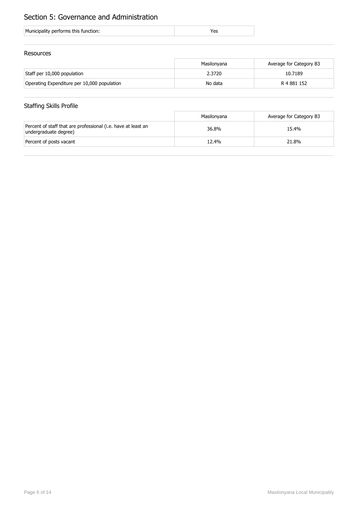# Section 5: Governance and Administration

| Municipality performs this function: |
|--------------------------------------|
|--------------------------------------|

## Resources

|                                             | Masilonyana | Average for Category B3 |
|---------------------------------------------|-------------|-------------------------|
| Staff per 10,000 population                 | 2.3720      | 10.7189                 |
| Operating Expenditure per 10,000 population | No data     | R 4 881 152             |

## Staffing Skills Profile

|                                                                                        | Masilonyana | Average for Category B3 |
|----------------------------------------------------------------------------------------|-------------|-------------------------|
| Percent of staff that are professional (i.e. have at least an<br>undergraduate degree) | 36.8%       | 15.4%                   |
| Percent of posts vacant                                                                | 12.4%       | 21.8%                   |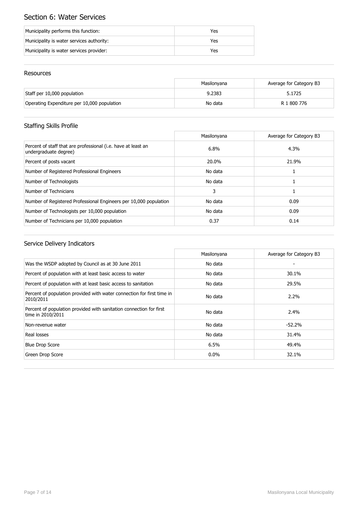# Section 6: Water Services

| Municipality performs this function:      | Yes |
|-------------------------------------------|-----|
| Municipality is water services authority: | Yes |
| Municipality is water services provider:  | Yes |

## Resources

|                                             | Masilonvana | Average for Category B3 |
|---------------------------------------------|-------------|-------------------------|
| Staff per 10,000 population                 | 9.2383      | 5.1725                  |
| Operating Expenditure per 10,000 population | No data     | R 1 800 776             |

# Staffing Skills Profile

|                                                                                        | Masilonyana | Average for Category B3 |
|----------------------------------------------------------------------------------------|-------------|-------------------------|
| Percent of staff that are professional (i.e. have at least an<br>undergraduate degree) | 6.8%        | 4.3%                    |
| Percent of posts vacant                                                                | 20.0%       | 21.9%                   |
| Number of Registered Professional Engineers                                            | No data     |                         |
| Number of Technologists                                                                | No data     |                         |
| Number of Technicians                                                                  | 3           |                         |
| Number of Registered Professional Engineers per 10,000 population                      | No data     | 0.09                    |
| Number of Technologists per 10,000 population                                          | No data     | 0.09                    |
| Number of Technicians per 10,000 population                                            | 0.37        | 0.14                    |

|                                                                                          | Masilonyana | Average for Category B3 |
|------------------------------------------------------------------------------------------|-------------|-------------------------|
| Was the WSDP adopted by Council as at 30 June 2011                                       | No data     |                         |
| Percent of population with at least basic access to water                                | No data     | 30.1%                   |
| Percent of population with at least basic access to sanitation                           | No data     | 29.5%                   |
| Percent of population provided with water connection for first time in<br>2010/2011      | No data     | $2.2\%$                 |
| Percent of population provided with sanitation connection for first<br>time in 2010/2011 | No data     | 2.4%                    |
| Non-revenue water                                                                        | No data     | $-52.2%$                |
| Real losses                                                                              | No data     | 31.4%                   |
| <b>Blue Drop Score</b>                                                                   | 6.5%        | 49.4%                   |
| Green Drop Score                                                                         | $0.0\%$     | 32.1%                   |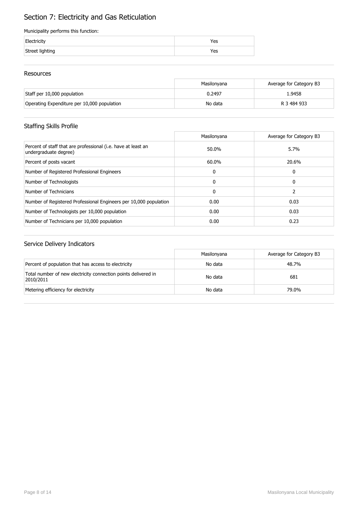# Section 7: Electricity and Gas Reticulation

### Municipality performs this function:

| Electricity     | 'es |
|-----------------|-----|
| Street lighting | res |

### Resources

|                                             | Masilonvana | Average for Category B3 |
|---------------------------------------------|-------------|-------------------------|
| Staff per 10,000 population                 | 0.2497      | 1.9458                  |
| Operating Expenditure per 10,000 population | No data     | R 3 484 933             |

## Staffing Skills Profile

|                                                                                        | Masilonyana | Average for Category B3 |
|----------------------------------------------------------------------------------------|-------------|-------------------------|
| Percent of staff that are professional (i.e. have at least an<br>undergraduate degree) | 50.0%       | 5.7%                    |
| Percent of posts vacant                                                                | 60.0%       | 20.6%                   |
| Number of Registered Professional Engineers                                            | 0           | 0                       |
| Number of Technologists                                                                | $\Omega$    | 0                       |
| Number of Technicians                                                                  | 0           |                         |
| Number of Registered Professional Engineers per 10,000 population                      | 0.00        | 0.03                    |
| Number of Technologists per 10,000 population                                          | 0.00        | 0.03                    |
| Number of Technicians per 10,000 population                                            | 0.00        | 0.23                    |

|                                                                             | Masilonyana | Average for Category B3 |
|-----------------------------------------------------------------------------|-------------|-------------------------|
| Percent of population that has access to electricity                        | No data     | 48.7%                   |
| Total number of new electricity connection points delivered in<br>2010/2011 | No data     | 681                     |
| Metering efficiency for electricity                                         | No data     | 79.0%                   |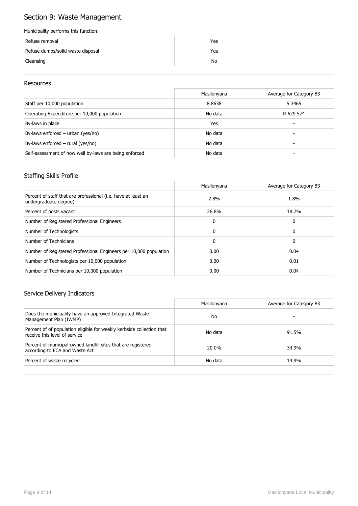# Section 9: Waste Management

### Municipality performs this function:

| Refuse removal                    | Yes |
|-----------------------------------|-----|
| Refuse dumps/solid waste disposal | Yes |
| Cleansing                         | No  |

### Resources

|                                                        | Masilonyana | Average for Category B3 |
|--------------------------------------------------------|-------------|-------------------------|
| Staff per 10,000 population                            | 8.8638      | 5.3465                  |
| Operating Expenditure per 10,000 population            | No data     | R 629 574               |
| By-laws in place                                       | Yes         |                         |
| By-laws enforced - urban (yes/no)                      | No data     | -                       |
| By-laws enforced - rural (yes/no)                      | No data     |                         |
| Self-assessment of how well by-laws are being enforced | No data     |                         |

## Staffing Skills Profile

|                                                                                        | Masilonyana  | Average for Category B3 |
|----------------------------------------------------------------------------------------|--------------|-------------------------|
| Percent of staff that are professional (i.e. have at least an<br>undergraduate degree) | 2.8%         | 1.8%                    |
| Percent of posts vacant                                                                | 26.8%        | 18.7%                   |
| Number of Registered Professional Engineers                                            | 0            | 0                       |
| Number of Technologists                                                                | $\Omega$     | 0                       |
| Number of Technicians                                                                  | $\mathbf{0}$ | 0                       |
| Number of Registered Professional Engineers per 10,000 population                      | 0.00         | 0.04                    |
| Number of Technologists per 10,000 population                                          | 0.00         | 0.01                    |
| Number of Technicians per 10,000 population                                            | 0.00         | 0.04                    |

|                                                                                                        | Masilonyana | Average for Category B3 |
|--------------------------------------------------------------------------------------------------------|-------------|-------------------------|
| Does the municipality have an approved Integrated Waste<br>Management Plan (IWMP)                      | No          |                         |
| Percent of of population eligible for weekly kerbside collection that<br>receive this level of service | No data     | 91.5%                   |
| Percent of municipal-owned landfill sites that are registered<br>according to ECA and Waste Act        | 20.0%       | 34.9%                   |
| Percent of waste recycled                                                                              | No data     | 14.9%                   |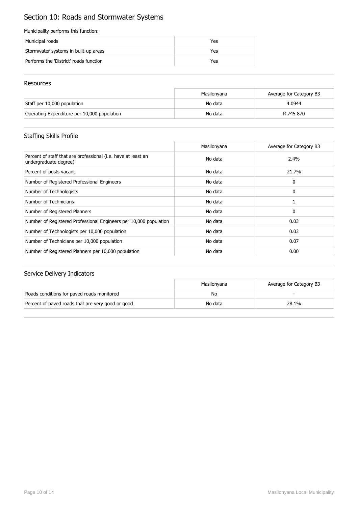# Section 10: Roads and Stormwater Systems

### Municipality performs this function:

| Municipal roads                        | Yes |
|----------------------------------------|-----|
| Stormwater systems in built-up areas   | Yes |
| Performs the 'District' roads function | Yes |

### Resources

|                                             | Masilonvana | Average for Category B3 |
|---------------------------------------------|-------------|-------------------------|
| Staff per 10,000 population                 | No data     | 4.0944                  |
| Operating Expenditure per 10,000 population | No data     | R 745 870               |

## Staffing Skills Profile

|                                                                                        | Masilonyana | Average for Category B3 |
|----------------------------------------------------------------------------------------|-------------|-------------------------|
| Percent of staff that are professional (i.e. have at least an<br>undergraduate degree) | No data     | 2.4%                    |
| Percent of posts vacant                                                                | No data     | 21.7%                   |
| Number of Registered Professional Engineers                                            | No data     | 0                       |
| Number of Technologists                                                                | No data     | 0                       |
| Number of Technicians                                                                  | No data     |                         |
| Number of Registered Planners                                                          | No data     | 0                       |
| Number of Registered Professional Engineers per 10,000 population                      | No data     | 0.03                    |
| Number of Technologists per 10,000 population                                          | No data     | 0.03                    |
| Number of Technicians per 10,000 population                                            | No data     | 0.07                    |
| Number of Registered Planners per 10,000 population                                    | No data     | 0.00                    |

|                                                   | Masilonvana | Average for Category B3 |
|---------------------------------------------------|-------------|-------------------------|
| Roads conditions for paved roads monitored        | No          |                         |
| Percent of paved roads that are very good or good | No data     | 28.1%                   |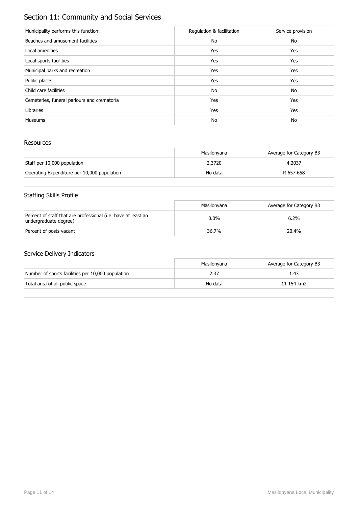# Section 11: Community and Social Services

| Municipality performs this function:        | Regulation & facilitation | Service provision |
|---------------------------------------------|---------------------------|-------------------|
| Beaches and amusement facilities            | No                        | No                |
| Local amenities                             | Yes                       | Yes               |
| Local sports facilities                     | Yes                       | Yes               |
| Municipal parks and recreation              | Yes                       | Yes               |
| Public places                               | Yes                       | Yes               |
| Child care facilities                       | No                        | No                |
| Cemeteries, funeral parlours and crematoria | Yes                       | Yes               |
| Libraries                                   | Yes                       | Yes               |
| <b>Museums</b>                              | No                        | No                |

## Resources

|                                             | Masilonvana | Average for Category B3 |
|---------------------------------------------|-------------|-------------------------|
| Staff per 10,000 population                 | 2.3720      | 4.2037                  |
| Operating Expenditure per 10,000 population | No data     | R 657 658               |

# Staffing Skills Profile

|                                                                                        | Masilonvana | Average for Category B3 |
|----------------------------------------------------------------------------------------|-------------|-------------------------|
| Percent of staff that are professional (i.e. have at least an<br>undergraduate degree) | $0.0\%$     | 6.2%                    |
| Percent of posts vacant                                                                | 36.7%       | 20.4%                   |

|                                                   | Masilonvana | Average for Category B3 |
|---------------------------------------------------|-------------|-------------------------|
| Number of sports facilities per 10,000 population | 2.37        | 1.43                    |
| Total area of all public space                    | No data     | 11 154 km2              |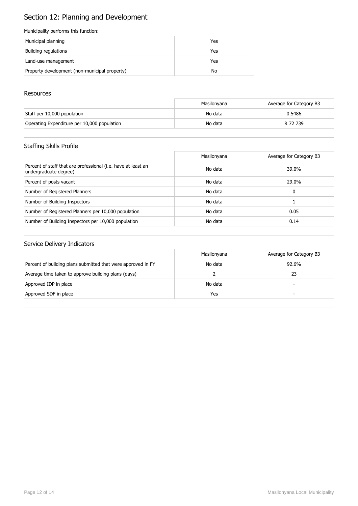# Section 12: Planning and Development

### Municipality performs this function:

| Municipal planning                            | Yes |
|-----------------------------------------------|-----|
| Building regulations                          | Yes |
| Land-use management                           | Yes |
| Property development (non-municipal property) | No  |

### **Resources**

|                                             | Masilonyana | Average for Category B3 |
|---------------------------------------------|-------------|-------------------------|
| Staff per 10,000 population                 | No data     | 0.5486                  |
| Operating Expenditure per 10,000 population | No data     | R 72 739                |

## Staffing Skills Profile

|                                                                                        | Masilonyana | Average for Category B3 |
|----------------------------------------------------------------------------------------|-------------|-------------------------|
| Percent of staff that are professional (i.e. have at least an<br>undergraduate degree) | No data     | 39.0%                   |
| Percent of posts vacant                                                                | No data     | 29.0%                   |
| Number of Registered Planners                                                          | No data     | 0                       |
| Number of Building Inspectors                                                          | No data     |                         |
| Number of Registered Planners per 10,000 population                                    | No data     | 0.05                    |
| Number of Building Inspectors per 10,000 population                                    | No data     | 0.14                    |

|                                                              | Masilonyana | Average for Category B3 |
|--------------------------------------------------------------|-------------|-------------------------|
| Percent of building plans submitted that were approved in FY | No data     | 92.6%                   |
| Average time taken to approve building plans (days)          |             | 23                      |
| Approved IDP in place                                        | No data     | -                       |
| Approved SDF in place                                        | Yes         | -                       |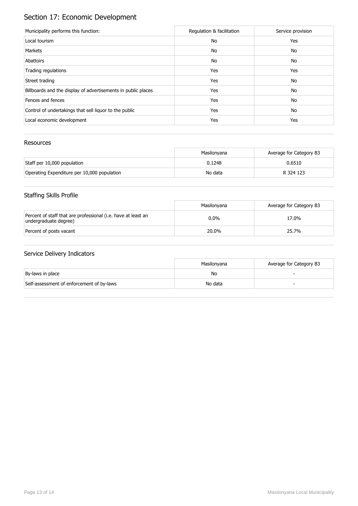# Section 17: Economic Development

| Municipality performs this function:                          | Regulation & facilitation | Service provision |
|---------------------------------------------------------------|---------------------------|-------------------|
| Local tourism                                                 | No                        | Yes               |
| Markets                                                       | No                        | No                |
| Abattoirs                                                     | No                        | No                |
| Trading regulations                                           | Yes                       | Yes               |
| Street trading                                                | Yes                       | No                |
| Billboards and the display of advertisements in public places | Yes                       | No                |
| Fences and fences                                             | Yes                       | No                |
| Control of undertakings that sell liquor to the public        | Yes                       | No                |
| Local economic development                                    | Yes                       | Yes               |

## Resources

|                                             | Masilonvana | Average for Category B3 |
|---------------------------------------------|-------------|-------------------------|
| Staff per 10,000 population                 | 0.1248      | 0.6510                  |
| Operating Expenditure per 10,000 population | No data     | R 324 123               |

# Staffing Skills Profile

|                                                                                        | Masilonvana | Average for Category B3 |
|----------------------------------------------------------------------------------------|-------------|-------------------------|
| Percent of staff that are professional (i.e. have at least an<br>undergraduate degree) | $0.0\%$     | 17.0%                   |
| Percent of posts vacant                                                                | 20.0%       | 25.7%                   |

|                                           | Masilonvana | Average for Category B3 |
|-------------------------------------------|-------------|-------------------------|
| By-laws in place                          | No          |                         |
| Self-assessment of enforcement of by-laws | No data     |                         |